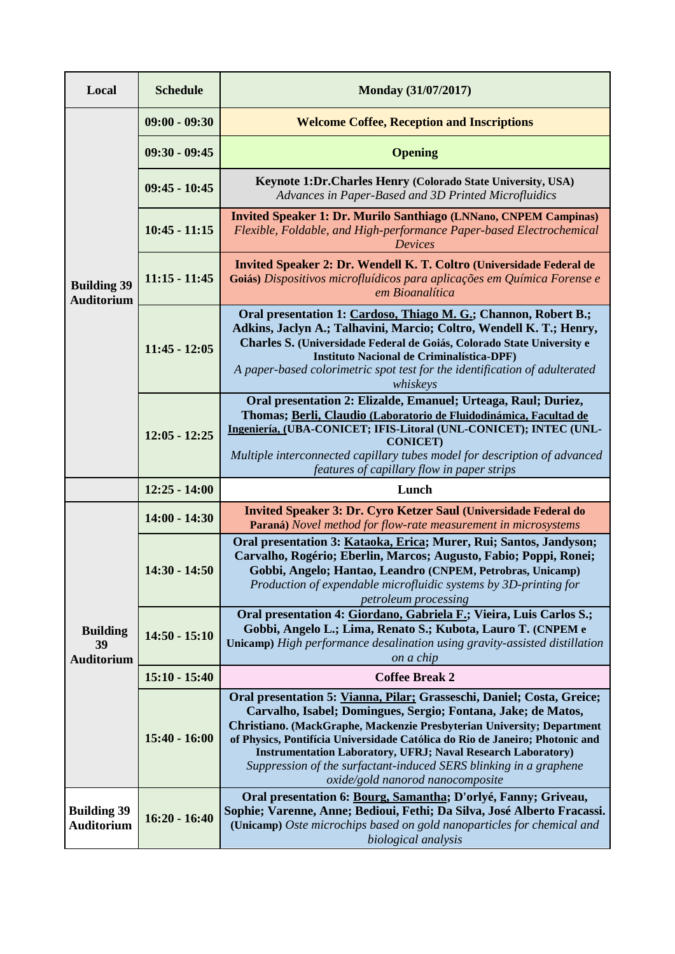| Local                                                                             | <b>Schedule</b> | Monday (31/07/2017)                                                                                                                                                                                                                                                                                                                                                                                                                                                               |  |
|-----------------------------------------------------------------------------------|-----------------|-----------------------------------------------------------------------------------------------------------------------------------------------------------------------------------------------------------------------------------------------------------------------------------------------------------------------------------------------------------------------------------------------------------------------------------------------------------------------------------|--|
| <b>Building 39</b><br><b>Auditorium</b>                                           | $09:00 - 09:30$ | <b>Welcome Coffee, Reception and Inscriptions</b>                                                                                                                                                                                                                                                                                                                                                                                                                                 |  |
|                                                                                   | $09:30 - 09:45$ | <b>Opening</b>                                                                                                                                                                                                                                                                                                                                                                                                                                                                    |  |
|                                                                                   | $09:45 - 10:45$ | Keynote 1:Dr.Charles Henry (Colorado State University, USA)<br>Advances in Paper-Based and 3D Printed Microfluidics                                                                                                                                                                                                                                                                                                                                                               |  |
|                                                                                   | $10:45 - 11:15$ | <b>Invited Speaker 1: Dr. Murilo Santhiago (LNNano, CNPEM Campinas)</b><br>Flexible, Foldable, and High-performance Paper-based Electrochemical<br><b>Devices</b>                                                                                                                                                                                                                                                                                                                 |  |
|                                                                                   | $11:15 - 11:45$ | Invited Speaker 2: Dr. Wendell K. T. Coltro (Universidade Federal de<br>Goiás) Dispositivos microfluídicos para aplicações em Química Forense e<br>em Bioanalítica                                                                                                                                                                                                                                                                                                                |  |
|                                                                                   | $11:45 - 12:05$ | Oral presentation 1: Cardoso, Thiago M. G.; Channon, Robert B.;<br>Adkins, Jaclyn A.; Talhavini, Marcio; Coltro, Wendell K. T.; Henry,<br>Charles S. (Universidade Federal de Goiás, Colorado State University e<br>Instituto Nacional de Criminalística-DPF)<br>A paper-based colorimetric spot test for the identification of adulterated<br>whiskeys                                                                                                                           |  |
|                                                                                   | $12:05 - 12:25$ | Oral presentation 2: Elizalde, Emanuel; Urteaga, Raul; Duriez,<br>Thomas; Berli, Claudio (Laboratorio de Fluidodinámica, Facultad de<br>Ingeniería, (UBA-CONICET; IFIS-Litoral (UNL-CONICET); INTEC (UNL-<br><b>CONICET)</b><br>Multiple interconnected capillary tubes model for description of advanced<br>features of capillary flow in paper strips                                                                                                                           |  |
|                                                                                   | $12:25 - 14:00$ | Lunch                                                                                                                                                                                                                                                                                                                                                                                                                                                                             |  |
| <b>Building</b><br>39<br><b>Auditorium</b>                                        | $14:00 - 14:30$ | Invited Speaker 3: Dr. Cyro Ketzer Saul (Universidade Federal do<br>Paraná) Novel method for flow-rate measurement in microsystems                                                                                                                                                                                                                                                                                                                                                |  |
|                                                                                   | $14:30 - 14:50$ | Oral presentation 3: Kataoka, Erica; Murer, Rui; Santos, Jandyson;<br>Carvalho, Rogério; Eberlin, Marcos; Augusto, Fabio; Poppi, Ronei;<br>Gobbi, Angelo; Hantao, Leandro (CNPEM, Petrobras, Unicamp)<br>Production of expendable microfluidic systems by 3D-printing for<br>petroleum processing                                                                                                                                                                                 |  |
|                                                                                   | $14:50 - 15:10$ | Oral presentation 4: Giordano, Gabriela F.; Vieira, Luis Carlos S.;<br>Gobbi, Angelo L.; Lima, Renato S.; Kubota, Lauro T. (CNPEM e<br>Unicamp) High performance desalination using gravity-assisted distillation<br>on a chip                                                                                                                                                                                                                                                    |  |
|                                                                                   | $15:10 - 15:40$ | <b>Coffee Break 2</b>                                                                                                                                                                                                                                                                                                                                                                                                                                                             |  |
|                                                                                   | $15:40 - 16:00$ | Oral presentation 5: Vianna, Pilar; Grasseschi, Daniel; Costa, Greice;<br>Carvalho, Isabel; Domingues, Sergio; Fontana, Jake; de Matos,<br>Christiano. (MackGraphe, Mackenzie Presbyterian University; Department<br>of Physics, Pontifícia Universidade Católica do Rio de Janeiro; Photonic and<br><b>Instrumentation Laboratory, UFRJ; Naval Research Laboratory)</b><br>Suppression of the surfactant-induced SERS blinking in a graphene<br>oxide/gold nanorod nanocomposite |  |
| <b>Building 39</b><br>$16:20 - 16:40$<br><b>Auditorium</b><br>biological analysis |                 | Oral presentation 6: Bourg, Samantha; D'orlyé, Fanny; Griveau,<br>Sophie; Varenne, Anne; Bedioui, Fethi; Da Silva, José Alberto Fracassi.<br>(Unicamp) Oste microchips based on gold nanoparticles for chemical and                                                                                                                                                                                                                                                               |  |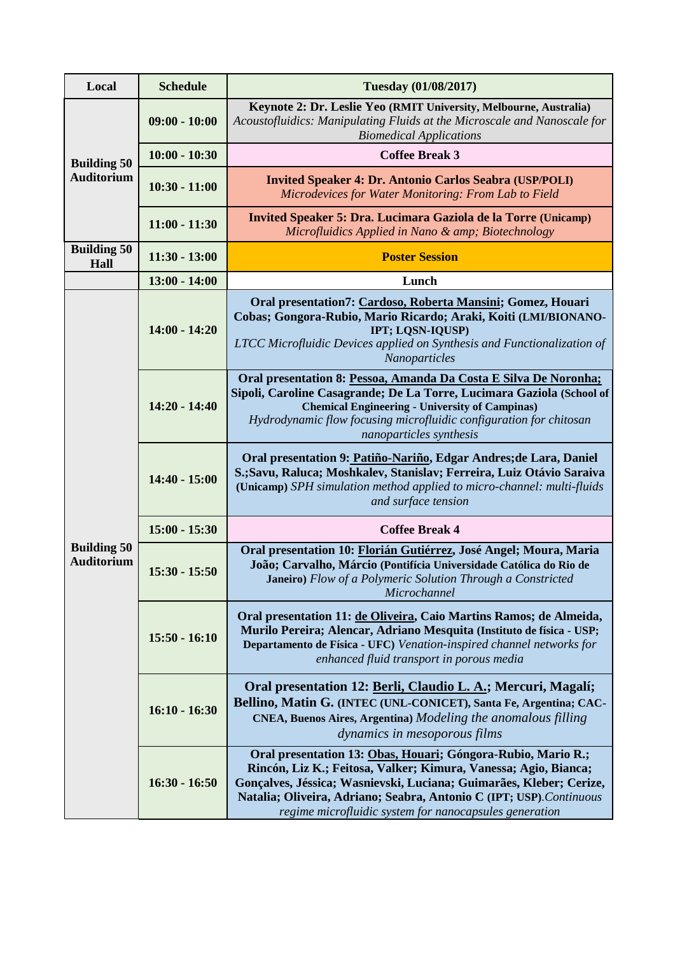| Local                                   | <b>Schedule</b> | <b>Tuesday (01/08/2017)</b>                                                                                                                                                                                                                                                                                                              |  |
|-----------------------------------------|-----------------|------------------------------------------------------------------------------------------------------------------------------------------------------------------------------------------------------------------------------------------------------------------------------------------------------------------------------------------|--|
| <b>Building 50</b><br><b>Auditorium</b> | $09:00 - 10:00$ | Keynote 2: Dr. Leslie Yeo (RMIT University, Melbourne, Australia)<br>Acoustofluidics: Manipulating Fluids at the Microscale and Nanoscale for<br><b>Biomedical Applications</b>                                                                                                                                                          |  |
|                                         | $10:00 - 10:30$ | <b>Coffee Break 3</b>                                                                                                                                                                                                                                                                                                                    |  |
|                                         | $10:30 - 11:00$ | <b>Invited Speaker 4: Dr. Antonio Carlos Seabra (USP/POLI)</b><br>Microdevices for Water Monitoring: From Lab to Field                                                                                                                                                                                                                   |  |
|                                         | $11:00 - 11:30$ | Invited Speaker 5: Dra. Lucimara Gaziola de la Torre (Unicamp)<br>Microfluidics Applied in Nano & amp; Biotechnology                                                                                                                                                                                                                     |  |
| <b>Building 50</b><br>Hall              | $11:30 - 13:00$ | <b>Poster Session</b>                                                                                                                                                                                                                                                                                                                    |  |
|                                         | $13:00 - 14:00$ | Lunch                                                                                                                                                                                                                                                                                                                                    |  |
|                                         | $14:00 - 14:20$ | Oral presentation7: Cardoso, Roberta Mansini; Gomez, Houari<br>Cobas; Gongora-Rubio, Mario Ricardo; Araki, Koiti (LMI/BIONANO-<br>IPT; LQSN-IQUSP)<br>LTCC Microfluidic Devices applied on Synthesis and Functionalization of<br>Nanoparticles                                                                                           |  |
|                                         | $14:20 - 14:40$ | Oral presentation 8: Pessoa, Amanda Da Costa E Silva De Noronha;<br>Sipoli, Caroline Casagrande; De La Torre, Lucimara Gaziola (School of<br><b>Chemical Engineering - University of Campinas)</b><br>Hydrodynamic flow focusing microfluidic configuration for chitosan<br>nanoparticles synthesis                                      |  |
|                                         | $14:40 - 15:00$ | Oral presentation 9: Patiño-Nariño, Edgar Andres; de Lara, Daniel<br>S.; Savu, Raluca; Moshkalev, Stanislav; Ferreira, Luiz Otávio Saraiva<br>(Unicamp) SPH simulation method applied to micro-channel: multi-fluids<br>and surface tension                                                                                              |  |
|                                         | $15:00 - 15:30$ | <b>Coffee Break 4</b>                                                                                                                                                                                                                                                                                                                    |  |
| <b>Building 50</b><br><b>Auditorium</b> | $15:30 - 15:50$ | Oral presentation 10: Florián Gutiérrez, José Angel; Moura, Maria<br>João; Carvalho, Márcio (Pontifícia Universidade Católica do Rio de<br><b>Janeiro</b> ) Flow of a Polymeric Solution Through a Constricted<br>Microchannel                                                                                                           |  |
|                                         | $15:50 - 16:10$ | Oral presentation 11: de Oliveira, Caio Martins Ramos; de Almeida,<br>Murilo Pereira; Alencar, Adriano Mesquita (Instituto de física - USP;<br>Departamento de Física - UFC) Venation-inspired channel networks for<br>enhanced fluid transport in porous media                                                                          |  |
|                                         | $16:10 - 16:30$ | Oral presentation 12: Berli, Claudio L. A.; Mercuri, Magalí;<br>Bellino, Matin G. (INTEC (UNL-CONICET), Santa Fe, Argentina; CAC-<br>CNEA, Buenos Aires, Argentina) Modeling the anomalous filling<br>dynamics in mesoporous films                                                                                                       |  |
|                                         | $16:30 - 16:50$ | Oral presentation 13: Obas, Houari; Góngora-Rubio, Mario R.;<br>Rincón, Liz K.; Feitosa, Valker; Kimura, Vanessa; Agio, Bianca;<br>Gonçalves, Jéssica; Wasnievski, Luciana; Guimarães, Kleber; Cerize,<br>Natalia; Oliveira, Adriano; Seabra, Antonio C (IPT; USP). Continuous<br>regime microfluidic system for nanocapsules generation |  |